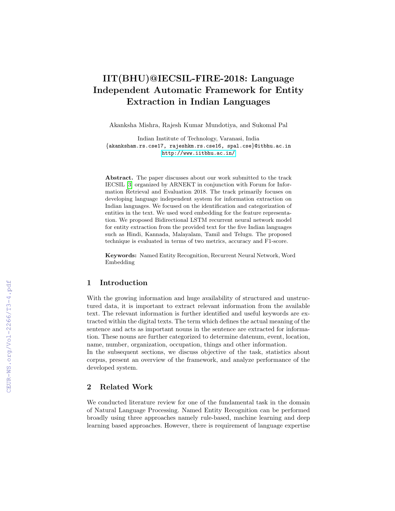# IIT(BHU)@IECSIL-FIRE-2018: Language Independent Automatic Framework for Entity Extraction in Indian Languages

Akanksha Mishra, Rajesh Kumar Mundotiya, and Sukomal Pal

Indian Institute of Technology, Varanasi, India {akanksham.rs.cse17, rajeshkm.rs.cse16, spal.cse}@itbhu.ac.in <http://www.iitbhu.ac.in/>

Abstract. The paper discusses about our work submitted to the track IECSIL [\[3\]](#page--1-0) organized by ARNEKT in conjunction with Forum for Information Retrieval and Evaluation 2018. The track primarily focuses on developing language independent system for information extraction on Indian languages. We focused on the identification and categorization of entities in the text. We used word embedding for the feature representation. We proposed Bidirectional LSTM recurrent neural network model for entity extraction from the provided text for the five Indian languages such as Hindi, Kannada, Malayalam, Tamil and Telugu. The proposed technique is evaluated in terms of two metrics, accuracy and F1-score.

Keywords: Named Entity Recognition, Recurrent Neural Network, Word Embedding

#### 1 Introduction

With the growing information and huge availability of structured and unstructured data, it is important to extract relevant information from the available text. The relevant information is further identified and useful keywords are extracted within the digital texts. The term which defines the actual meaning of the sentence and acts as important nouns in the sentence are extracted for information. These nouns are further categorized to determine datenum, event, location, name, number, organization, occupation, things and other information.

In the subsequent sections, we discuss objective of the task, statistics about corpus, present an overview of the framework, and analyze performance of the developed system.

## 2 Related Work

We conducted literature review for one of the fundamental task in the domain of Natural Language Processing. Named Entity Recognition can be performed broadly using three approaches namely rule-based, machine learning and deep learning based approaches. However, there is requirement of language expertise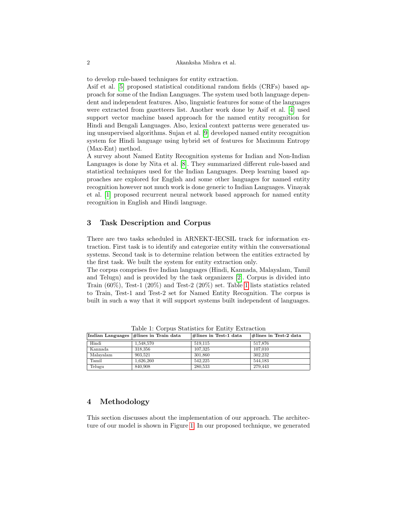to develop rule-based techniques for entity extraction.

Asif et al. [\[5\]](#page-7-0) proposed statistical conditional random fields (CRFs) based approach for some of the Indian Languages. The system used both language dependent and independent features. Also, linguistic features for some of the languages were extracted from gazetteers list. Another work done by Asif et al. [\[4\]](#page-7-1) used support vector machine based approach for the named entity recognition for Hindi and Bengali Languages. Also, lexical context patterns were generated using unsupervised algorithms. Sujan et al. [\[9\]](#page-7-2) developed named entity recognition system for Hindi language using hybrid set of features for Maximum Entropy (Max-Ent) method.

A survey about Named Entity Recognition systems for Indian and Non-Indian Languages is done by Nita et al. [\[8\]](#page-7-3). They summarized different rule-based and statistical techniques used for the Indian Languages. Deep learning based approaches are explored for English and some other languages for named entity recognition however not much work is done generic to Indian Languages. Vinayak et al. [\[1\]](#page-6-0) proposed recurrent neural network based approach for named entity recognition in English and Hindi language.

#### 3 Task Description and Corpus

There are two tasks scheduled in ARNEKT-IECSIL track for information extraction. First task is to identify and categorize entity within the conversational systems. Second task is to determine relation between the entities extracted by the first task. We built the system for entity extraction only.

The corpus comprises five Indian languages (Hindi, Kannada, Malayalam, Tamil and Telugu) and is provided by the task organizers [\[2\]](#page-6-1). Corpus is divided into Train  $(60\%)$ , Test-1  $(20\%)$  and Test-2  $(20\%)$  set. Table [1](#page-1-0) lists statistics related to Train, Test-1 and Test-2 set for Named Entity Recognition. The corpus is built in such a way that it will support systems built independent of languages.

<span id="page-1-0"></span>

|           | Indian Languages  #lines in Train data | #lines in Test-1 data | $\#$ lines in Test-2 data |
|-----------|----------------------------------------|-----------------------|---------------------------|
| Hindi     | 1.548.570                              | 519.115               | 517,876                   |
| Kannada   | 318.356                                | 107.325               | 107.010                   |
| Malavalam | 903.521                                | 301,860               | 302.232                   |
| Tamil     | 1.626.260                              | 542.225               | 544.183                   |
| Telugu    | 840,908                                | 280,533               | 279.443                   |

Table 1: Corpus Statistics for Entity Extraction

## 4 Methodology

This section discusses about the implementation of our approach. The architecture of our model is shown in Figure [1.](#page-3-0) In our proposed technique, we generated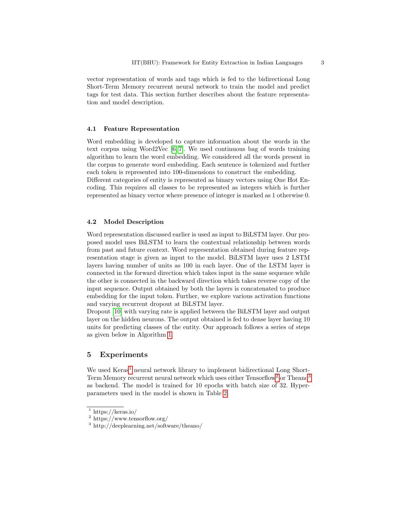vector representation of words and tags which is fed to the bidirectional Long Short-Term Memory recurrent neural network to train the model and predict tags for test data. This section further describes about the feature representation and model description.

#### 4.1 Feature Representation

Word embedding is developed to capture information about the words in the text corpus using Word2Vec [\[6,](#page-7-4) [7\]](#page-7-5). We used continuous bag of words training algorithm to learn the word embedding. We considered all the words present in the corpus to generate word embedding. Each sentence is tokenized and further each token is represented into 100-dimensions to construct the embedding.

Different categories of entity is represented as binary vectors using One Hot Encoding. This requires all classes to be represented as integers which is further represented as binary vector where presence of integer is marked as 1 otherwise 0.

#### 4.2 Model Description

Word representation discussed earlier is used as input to BiLSTM layer. Our proposed model uses BiLSTM to learn the contextual relationship between words from past and future context. Word representation obtained during feature representation stage is given as input to the model. BiLSTM layer uses 2 LSTM layers having number of units as 100 in each layer. One of the LSTM layer is connected in the forward direction which takes input in the same sequence while the other is connected in the backward direction which takes reverse copy of the input sequence. Output obtained by both the layers is concatenated to produce embedding for the input token. Further, we explore various activation functions and varying recurrent dropout at BiLSTM layer.

Dropout [\[10\]](#page-7-6) with varying rate is applied between the BiLSTM layer and output layer on the hidden neurons. The output obtained is fed to dense layer having 10 units for predicting classes of the entity. Our approach follows a series of steps as given below in Algorithm [1.](#page-3-1)

## 5 Experiments

We used Keras<sup>[1](#page-2-0)</sup> neural network library to implement bidirectional Long Short-Term Memory recurrent neural network which uses either Tensorflow<sup>[2](#page-2-1)</sup> or Theano<sup>[3](#page-2-2)</sup> as backend. The model is trained for 10 epochs with batch size of 32. Hyperparameters used in the model is shown in Table [2.](#page-3-2)

<span id="page-2-0"></span><sup>&</sup>lt;sup>1</sup> https://keras.io/

<span id="page-2-1"></span><sup>2</sup> https://www.tensorflow.org/

<span id="page-2-2"></span><sup>3</sup> http://deeplearning.net/software/theano/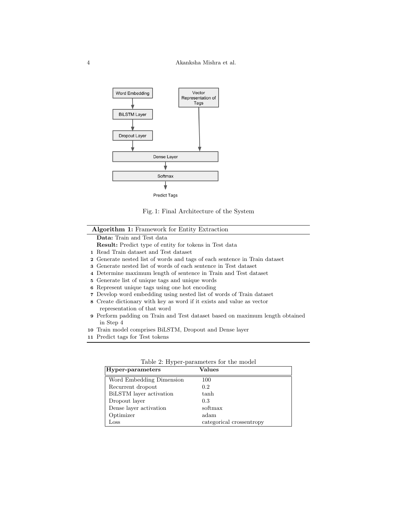<span id="page-3-0"></span>

Fig. 1: Final Architecture of the System

#### Algorithm 1: Framework for Entity Extraction

Data: Train and Test data

- Result: Predict type of entity for tokens in Test data
- 1 Read Train dataset and Test dataset
- 2 Generate nested list of words and tags of each sentence in Train dataset
- 3 Generate nested list of words of each sentence in Test dataset
- 4 Determine maximum length of sentence in Train and Test dataset
- 5 Generate list of unique tags and unique words
- 6 Represent unique tags using one hot encoding
- 7 Develop word embedding using nested list of words of Train dataset
- 8 Create dictionary with key as word if it exists and value as vector representation of that word
- 9 Perform padding on Train and Test dataset based on maximum length obtained in Step 4
- 10 Train model comprises BiLSTM, Dropout and Dense layer
- <span id="page-3-2"></span><span id="page-3-1"></span>11 Predict tags for Test tokens

| Hyper-parameters         | Values                   |  |
|--------------------------|--------------------------|--|
| Word Embedding Dimension | 100                      |  |
| Recurrent dropout        | 0.2                      |  |
| BiLSTM layer activation  | tanh                     |  |
| Dropout layer            | 0.3                      |  |
| Dense layer activation   | softmax                  |  |
| Optimizer                | adam                     |  |
| $_{\rm Loss}$            | categorical crossentropy |  |

Table 2: Hyper-parameters for the model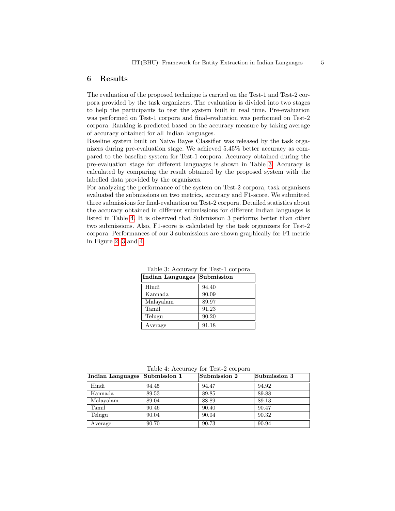#### 6 Results

The evaluation of the proposed technique is carried on the Test-1 and Test-2 corpora provided by the task organizers. The evaluation is divided into two stages to help the participants to test the system built in real time. Pre-evaluation was performed on Test-1 corpora and final-evaluation was performed on Test-2 corpora. Ranking is predicted based on the accuracy measure by taking average of accuracy obtained for all Indian languages.

Baseline system built on Naive Bayes Classifier was released by the task organizers during pre-evaluation stage. We achieved 5.45% better accuracy as compared to the baseline system for Test-1 corpora. Accuracy obtained during the pre-evaluation stage for different languages is shown in Table [3.](#page-4-0) Accuracy is calculated by comparing the result obtained by the proposed system with the labelled data provided by the organizers.

For analyzing the performance of the system on Test-2 corpora, task organizers evaluated the submissions on two metrics, accuracy and F1-score. We submitted three submissions for final-evaluation on Test-2 corpora. Detailed statistics about the accuracy obtained in different submissions for different Indian languages is listed in Table [4.](#page-4-1) It is observed that Submission 3 performs better than other two submissions. Also, F1-score is calculated by the task organizers for Test-2 corpora. Performances of our 3 submissions are shown graphically for F1 metric in Figure [2,](#page-5-0) [3](#page-5-1) and [4.](#page-6-2)

<span id="page-4-0"></span>

| Indian Languages | Submission |
|------------------|------------|
| Hindi            | 94.40      |
| Kannada          | 90.09      |
| Malayalam        | 89.97      |
| Tamil            | 91.23      |
| Telugu           | 90.20      |
| Average          | 91.18      |

Table 3: Accuracy for Test-1 corpora

Table 4: Accuracy for Test-2 corpora

<span id="page-4-1"></span>

| Indian Languages Submission 1 |       | Submission 2 | Submission 3 |
|-------------------------------|-------|--------------|--------------|
| Hindi                         | 94.45 | 94.47        | 94.92        |
| Kannada                       | 89.53 | 89.85        | 89.88        |
| Malayalam                     | 89.04 | 88.89        | 89.13        |
| Tamil                         | 90.46 | 90.40        | 90.47        |
| Telugu                        | 90.04 | 90.04        | 90.32        |
| Average                       | 90.70 | 90.73        | 90.94        |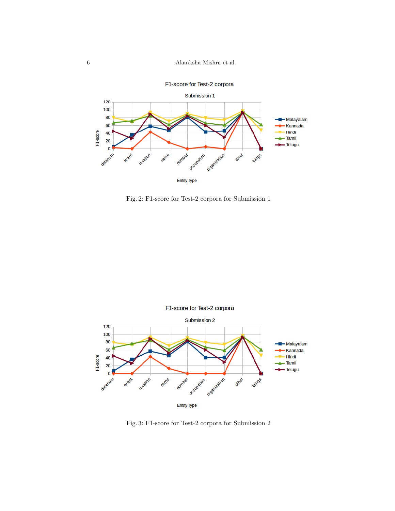6 Akanksha Mishra et al.

<span id="page-5-0"></span>

Fig. 2: F1-score for Test-2 corpora for Submission 1

<span id="page-5-1"></span>

Fig. 3: F1-score for Test-2 corpora for Submission 2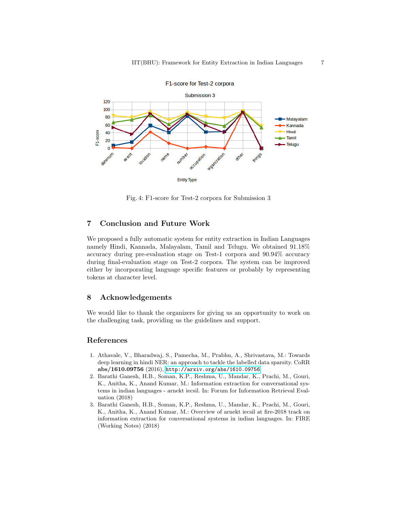<span id="page-6-2"></span>

Fig. 4: F1-score for Test-2 corpora for Submission 3

# 7 Conclusion and Future Work

We proposed a fully automatic system for entity extraction in Indian Languages namely Hindi, Kannada, Malayalam, Tamil and Telugu. We obtained 91.18% accuracy during pre-evaluation stage on Test-1 corpora and 90.94% accuracy during final-evaluation stage on Test-2 corpora. The system can be improved either by incorporating language specific features or probably by representing tokens at character level.

## 8 Acknowledgements

We would like to thank the organizers for giving us an opportunity to work on the challenging task, providing us the guidelines and support.

#### References

- <span id="page-6-0"></span>1. Athavale, V., Bharadwaj, S., Pamecha, M., Prabhu, A., Shrivastava, M.: Towards deep learning in hindi NER: an approach to tackle the labelled data sparsity. CoRR abs/1610.09756 (2016), <http://arxiv.org/abs/1610.09756>
- <span id="page-6-1"></span>2. Barathi Ganesh, H.B., Soman, K.P., Reshma, U., Mandar, K., Prachi, M., Gouri, K., Anitha, K., Anand Kumar, M.: Information extraction for conversational systems in indian languages - arnekt iecsil. In: Forum for Information Retrieval Evaluation (2018)
- 3. Barathi Ganesh, H.B., Soman, K.P., Reshma, U., Mandar, K., Prachi, M., Gouri, K., Anitha, K., Anand Kumar, M.: Overview of arnekt iecsil at fire-2018 track on information extraction for conversational systems in indian languages. In: FIRE (Working Notes) (2018)